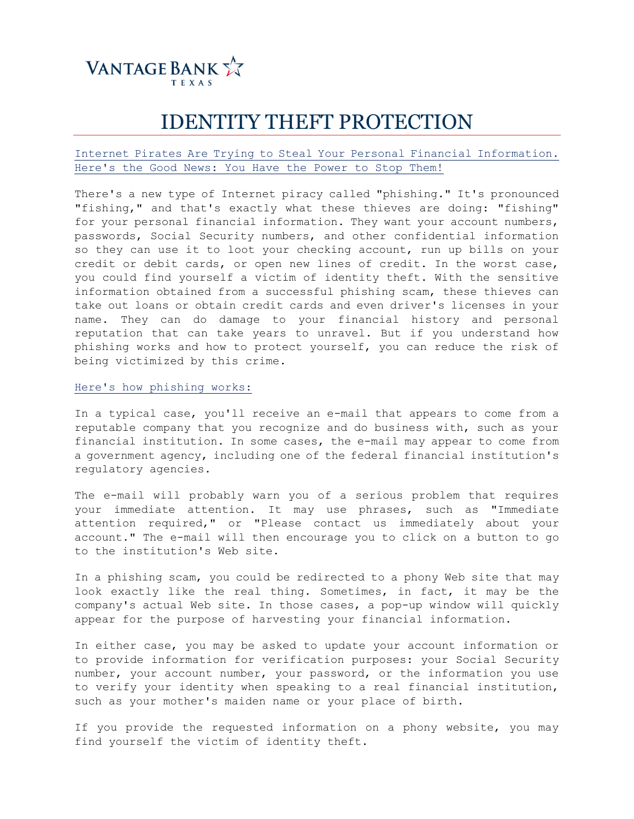

## IDENTITY THEFT PROTECTION

Internet Pirates Are Trying to Steal Your Personal Financial Information. Here's the Good News: You Have the Power to Stop Them!

There's a new type of Internet piracy called "phishing." It's pronounced "fishing," and that's exactly what these thieves are doing: "fishing" for your personal financial information. They want your account numbers, passwords, Social Security numbers, and other confidential information so they can use it to loot your checking account, run up bills on your credit or debit cards, or open new lines of credit. In the worst case, you could find yourself a victim of identity theft. With the sensitive information obtained from a successful phishing scam, these thieves can take out loans or obtain credit cards and even driver's licenses in your name. They can do damage to your financial history and personal reputation that can take years to unravel. But if you understand how phishing works and how to protect yourself, you can reduce the risk of being victimized by this crime.

## Here's how phishing works:

In a typical case, you'll receive an e-mail that appears to come from a reputable company that you recognize and do business with, such as your financial institution. In some cases, the e-mail may appear to come from a government agency, including one of the federal financial institution's regulatory agencies.

The e-mail will probably warn you of a serious problem that requires your immediate attention. It may use phrases, such as "Immediate attention required," or "Please contact us immediately about your account." The e-mail will then encourage you to click on a button to go to the institution's Web site.

In a phishing scam, you could be redirected to a phony Web site that may look exactly like the real thing. Sometimes, in fact, it may be the company's actual Web site. In those cases, a pop-up window will quickly appear for the purpose of harvesting your financial information.

In either case, you may be asked to update your account information or to provide information for verification purposes: your Social Security number, your account number, your password, or the information you use to verify your identity when speaking to a real financial institution, such as your mother's maiden name or your place of birth.

If you provide the requested information on a phony website, you may find yourself the victim of identity theft.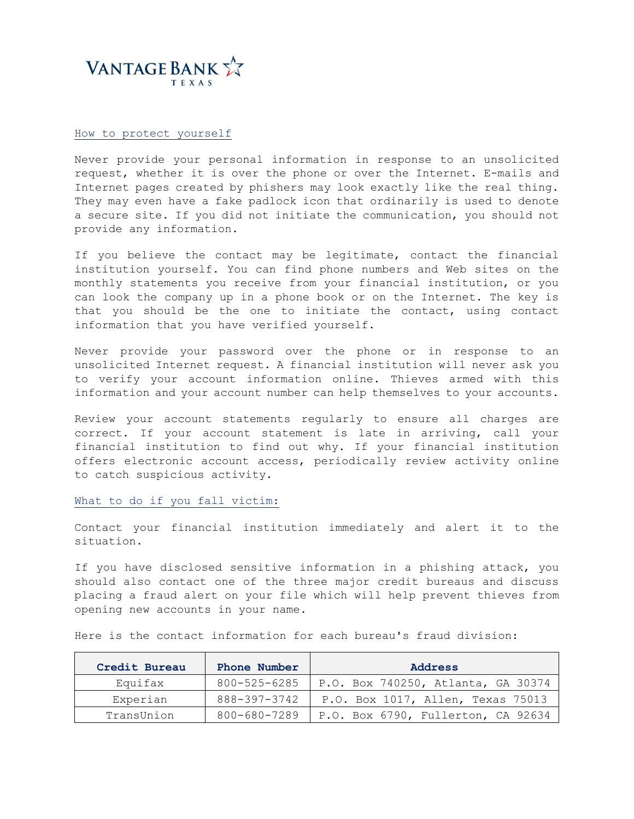

## How to protect yourself

Never provide your personal information in response to an unsolicited request, whether it is over the phone or over the Internet. E-mails and Internet pages created by phishers may look exactly like the real thing. They may even have a fake padlock icon that ordinarily is used to denote a secure site. If you did not initiate the communication, you should not provide any information.

If you believe the contact may be legitimate, contact the financial institution yourself. You can find phone numbers and Web sites on the monthly statements you receive from your financial institution, or you can look the company up in a phone book or on the Internet. The key is that you should be the one to initiate the contact, using contact information that you have verified yourself.

Never provide your password over the phone or in response to an unsolicited Internet request. A financial institution will never ask you to verify your account information online. Thieves armed with this information and your account number can help themselves to your accounts.

Review your account statements regularly to ensure all charges are correct. If your account statement is late in arriving, call your financial institution to find out why. If your financial institution offers electronic account access, periodically review activity online to catch suspicious activity.

What to do if you fall victim:

Contact your financial institution immediately and alert it to the situation.

If you have disclosed sensitive information in a phishing attack, you should also contact one of the three major credit bureaus and discuss placing a fraud alert on your file which will help prevent thieves from opening new accounts in your name.

| Credit Bureau | Phone Number | Address                            |
|---------------|--------------|------------------------------------|
| Equifax       | 800-525-6285 | P.O. Box 740250, Atlanta, GA 30374 |
| Experian      | 888-397-3742 | P.O. Box 1017, Allen, Texas 75013  |
| TransUnion    | 800-680-7289 | P.O. Box 6790, Fullerton, CA 92634 |

Here is the contact information for each bureau's fraud division: